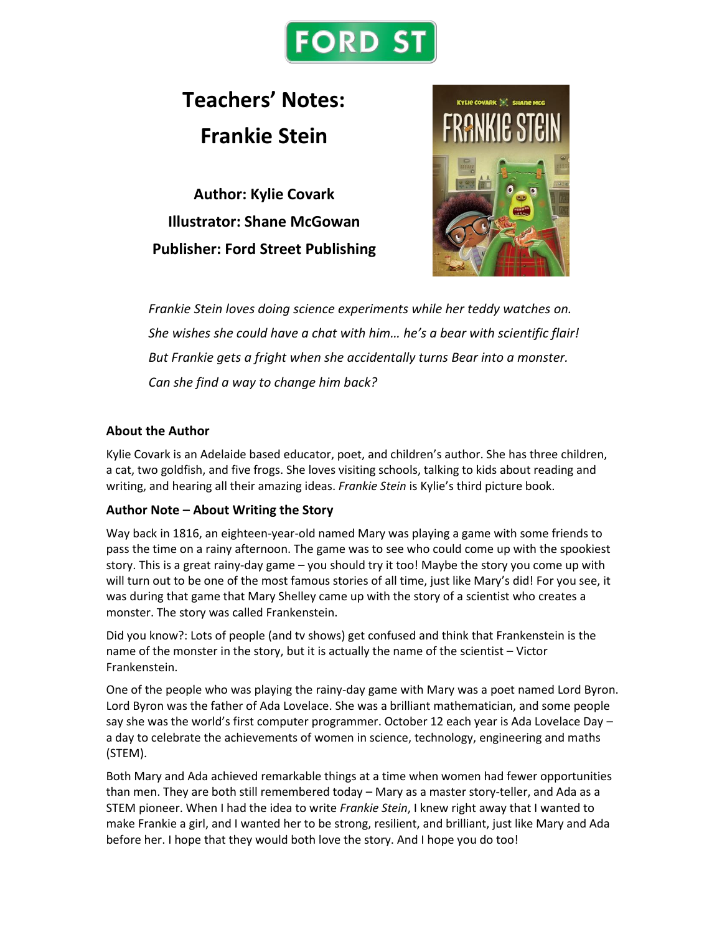

# **Teachers' Notes: Frankie Stein**

**Author: Kylie Covark Illustrator: Shane McGowan Publisher: Ford Street Publishing**



*Frankie Stein loves doing science experiments while her teddy watches on. She wishes she could have a chat with him… he's a bear with scientific flair! But Frankie gets a fright when she accidentally turns Bear into a monster. Can she find a way to change him back?*

# **About the Author**

Kylie Covark is an Adelaide based educator, poet, and children's author. She has three children, a cat, two goldfish, and five frogs. She loves visiting schools, talking to kids about reading and writing, and hearing all their amazing ideas. *Frankie Stein* is Kylie's third picture book.

# **Author Note – About Writing the Story**

Way back in 1816, an eighteen-year-old named Mary was playing a game with some friends to pass the time on a rainy afternoon. The game was to see who could come up with the spookiest story. This is a great rainy-day game – you should try it too! Maybe the story you come up with will turn out to be one of the most famous stories of all time, just like Mary's did! For you see, it was during that game that Mary Shelley came up with the story of a scientist who creates a monster. The story was called Frankenstein.

Did you know?: Lots of people (and tv shows) get confused and think that Frankenstein is the name of the monster in the story, but it is actually the name of the scientist – Victor Frankenstein.

One of the people who was playing the rainy-day game with Mary was a poet named Lord Byron. Lord Byron was the father of Ada Lovelace. She was a brilliant mathematician, and some people say she was the world's first computer programmer. October 12 each year is Ada Lovelace Day – a day to celebrate the achievements of women in science, technology, engineering and maths (STEM).

Both Mary and Ada achieved remarkable things at a time when women had fewer opportunities than men. They are both still remembered today – Mary as a master story-teller, and Ada as a STEM pioneer. When I had the idea to write *Frankie Stein*, I knew right away that I wanted to make Frankie a girl, and I wanted her to be strong, resilient, and brilliant, just like Mary and Ada before her. I hope that they would both love the story. And I hope you do too!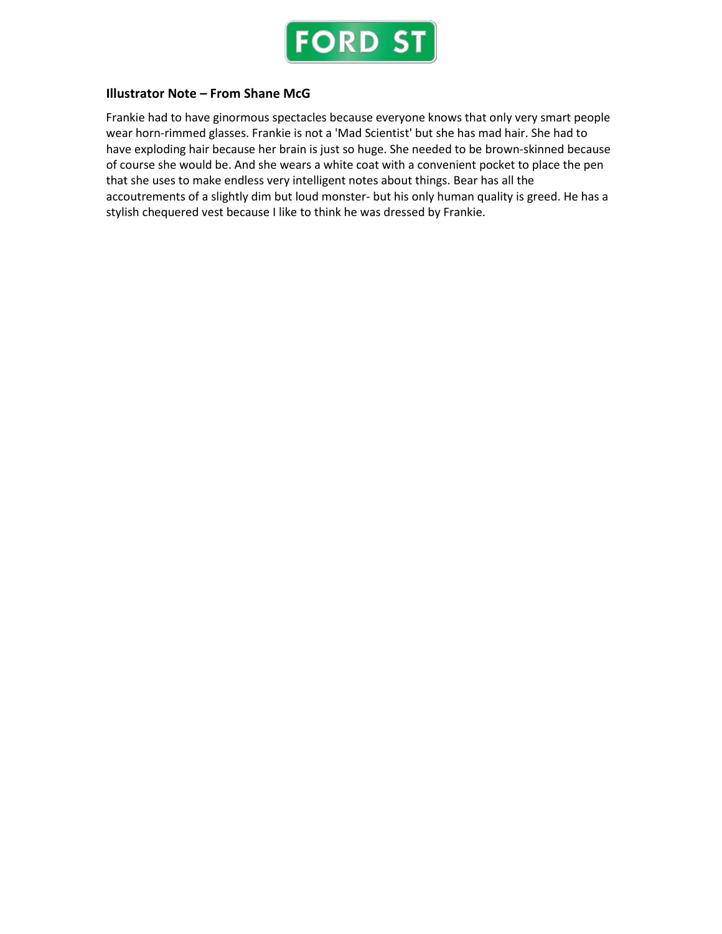

# **Illustrator Note – From Shane McG**

Frankie had to have ginormous spectacles because everyone knows that only very smart people wear horn-rimmed glasses. Frankie is not a 'Mad Scientist' but she has mad hair. She had to have exploding hair because her brain is just so huge. She needed to be brown-skinned because of course she would be. And she wears a white coat with a convenient pocket to place the pen that she uses to make endless very intelligent notes about things. Bear has all the accoutrements of a slightly dim but loud monster- but his only human quality is greed. He has a stylish chequered vest because I like to think he was dressed by Frankie.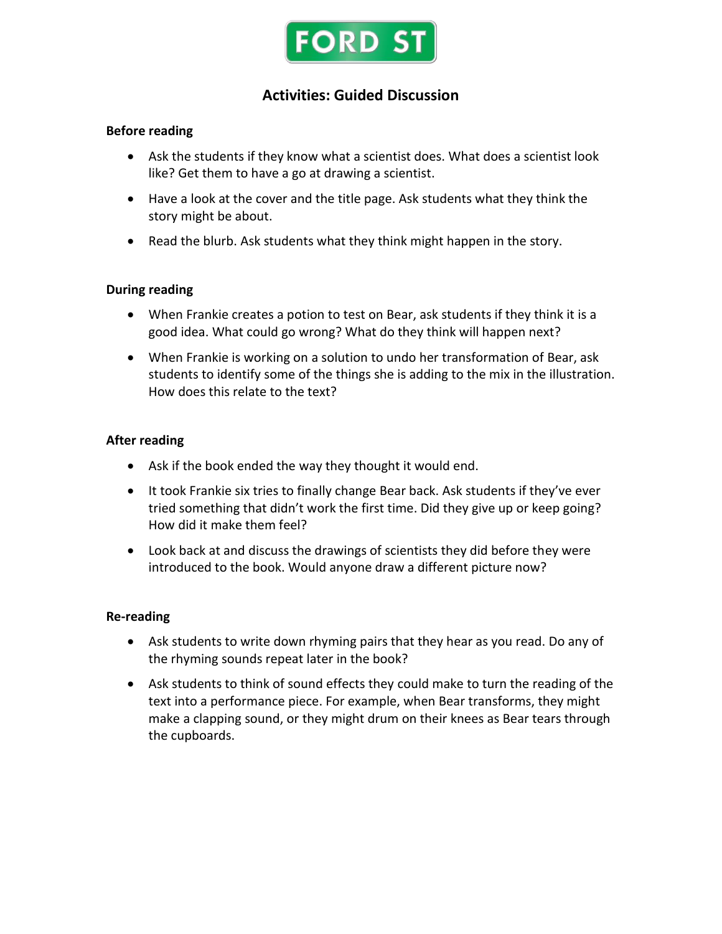

# **Activities: Guided Discussion**

# **Before reading**

- Ask the students if they know what a scientist does. What does a scientist look like? Get them to have a go at drawing a scientist.
- Have a look at the cover and the title page. Ask students what they think the story might be about.
- Read the blurb. Ask students what they think might happen in the story.

# **During reading**

- When Frankie creates a potion to test on Bear, ask students if they think it is a good idea. What could go wrong? What do they think will happen next?
- When Frankie is working on a solution to undo her transformation of Bear, ask students to identify some of the things she is adding to the mix in the illustration. How does this relate to the text?

#### **After reading**

- Ask if the book ended the way they thought it would end.
- It took Frankie six tries to finally change Bear back. Ask students if they've ever tried something that didn't work the first time. Did they give up or keep going? How did it make them feel?
- Look back at and discuss the drawings of scientists they did before they were introduced to the book. Would anyone draw a different picture now?

#### **Re-reading**

- Ask students to write down rhyming pairs that they hear as you read. Do any of the rhyming sounds repeat later in the book?
- Ask students to think of sound effects they could make to turn the reading of the text into a performance piece. For example, when Bear transforms, they might make a clapping sound, or they might drum on their knees as Bear tears through the cupboards.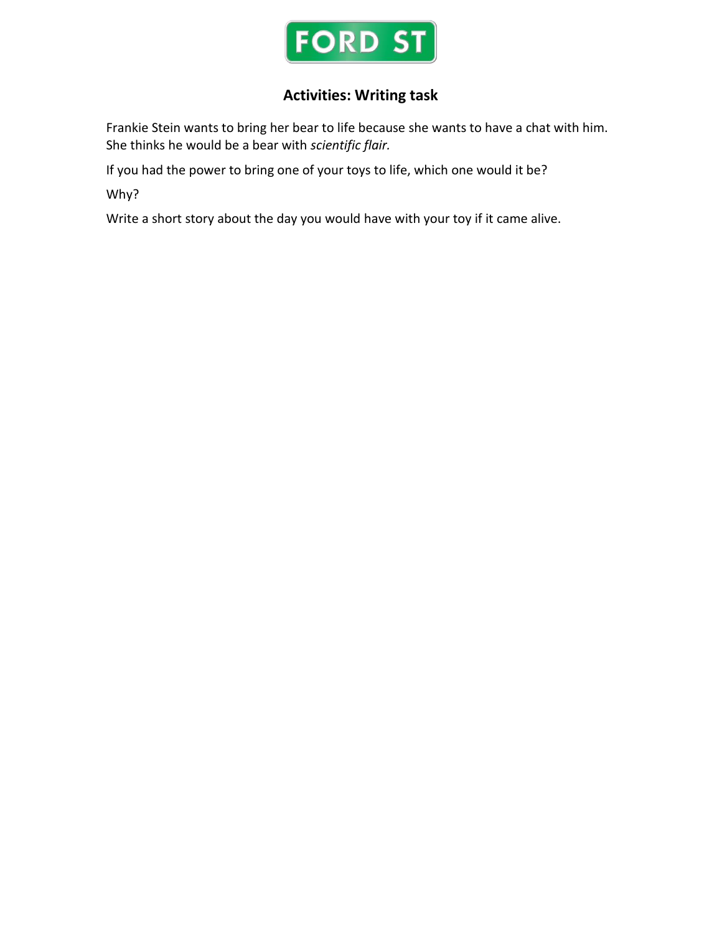

# **Activities: Writing task**

Frankie Stein wants to bring her bear to life because she wants to have a chat with him. She thinks he would be a bear with *scientific flair.*

If you had the power to bring one of your toys to life, which one would it be?

Why?

Write a short story about the day you would have with your toy if it came alive.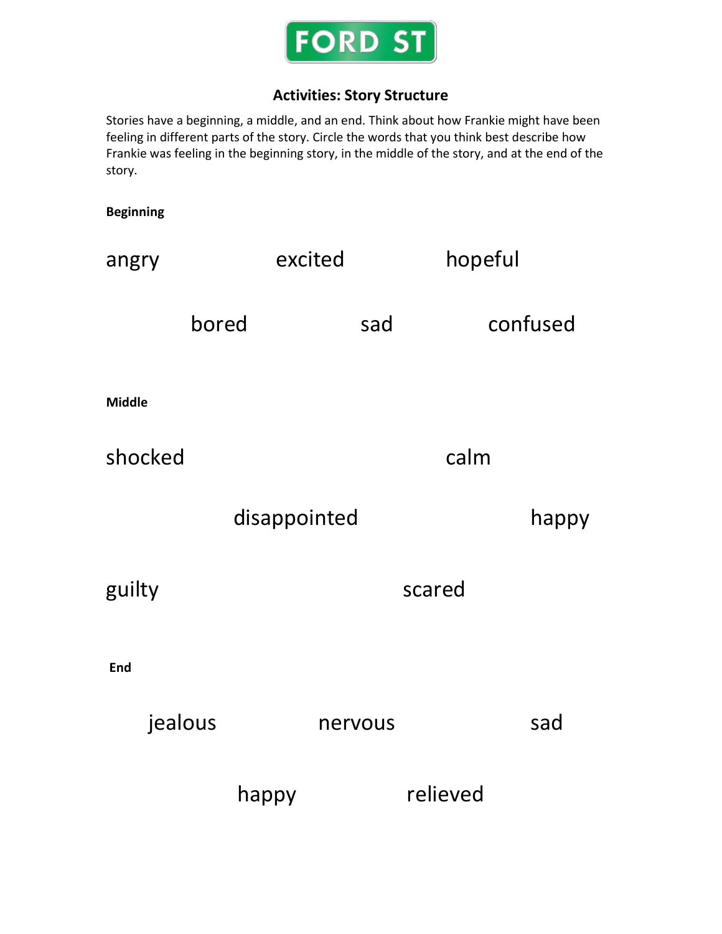

# **Activities: Story Structure**

Stories have a beginning, a middle, and an end. Think about how Frankie might have been feeling in different parts of the story. Circle the words that you think best describe how Frankie was feeling in the beginning story, in the middle of the story, and at the end of the story.

# **Beginning** angry excited hopeful bored sad confused **Middle** shocked calm disappointed happy guilty scared **End** jealous nervous sad happy relieved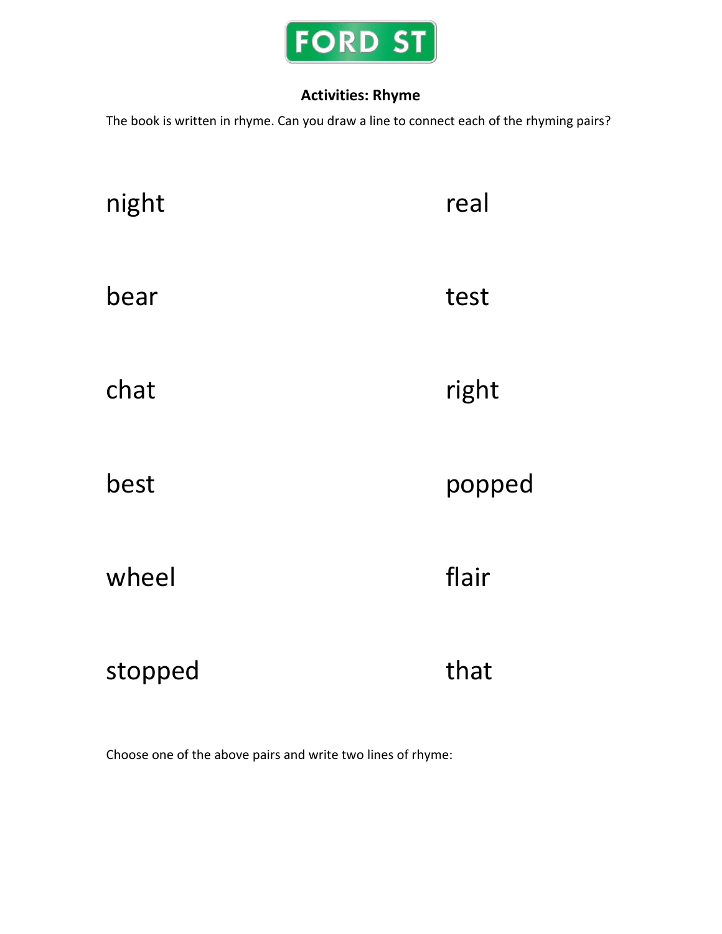

# **Activities: Rhyme**

The book is written in rhyme. Can you draw a line to connect each of the rhyming pairs?

| night   | real   |
|---------|--------|
| bear    | test   |
| chat    | right  |
| best    | popped |
| wheel   | flair  |
| stopped | that   |

Choose one of the above pairs and write two lines of rhyme: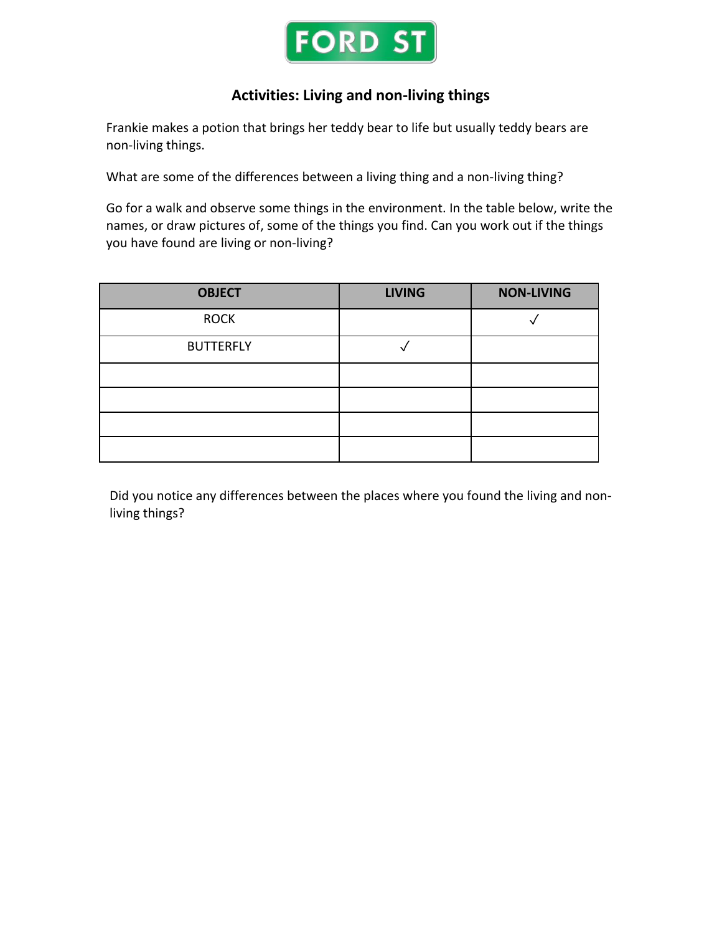

# **Activities: Living and non-living things**

Frankie makes a potion that brings her teddy bear to life but usually teddy bears are non-living things.

What are some of the differences between a living thing and a non-living thing?

Go for a walk and observe some things in the environment. In the table below, write the names, or draw pictures of, some of the things you find. Can you work out if the things you have found are living or non-living?

| <b>OBJECT</b>    | <b>LIVING</b> | <b>NON-LIVING</b> |
|------------------|---------------|-------------------|
| <b>ROCK</b>      |               |                   |
| <b>BUTTERFLY</b> |               |                   |
|                  |               |                   |
|                  |               |                   |
|                  |               |                   |
|                  |               |                   |

Did you notice any differences between the places where you found the living and nonliving things?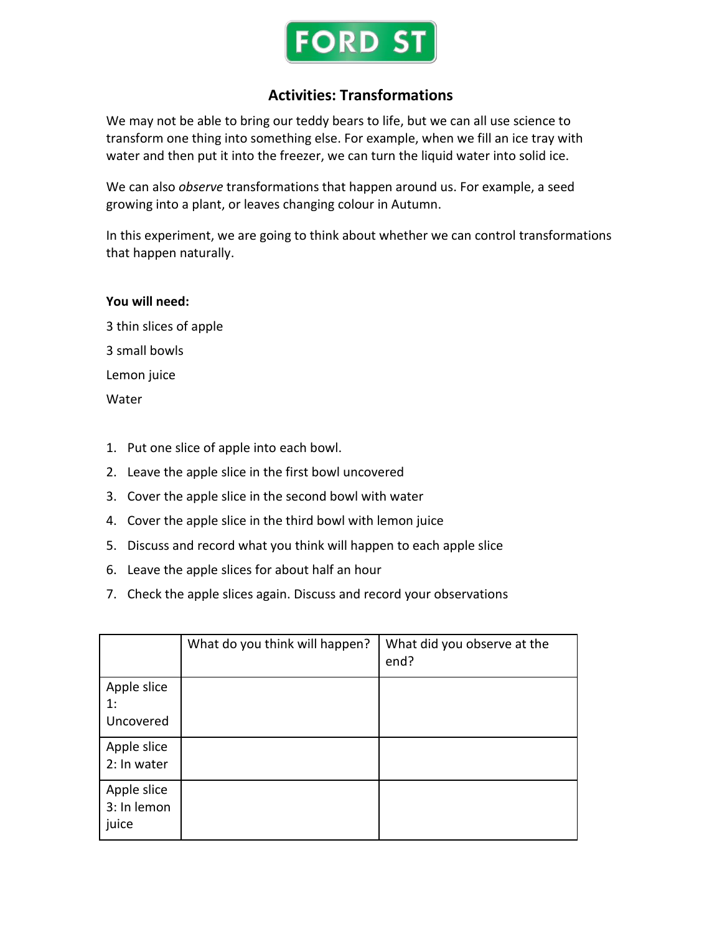

# **Activities: Transformations**

We may not be able to bring our teddy bears to life, but we can all use science to transform one thing into something else. For example, when we fill an ice tray with water and then put it into the freezer, we can turn the liquid water into solid ice.

We can also *observe* transformations that happen around us. For example, a seed growing into a plant, or leaves changing colour in Autumn.

In this experiment, we are going to think about whether we can control transformations that happen naturally.

# **You will need:**

3 thin slices of apple 3 small bowls Lemon juice **Water** 

- 1. Put one slice of apple into each bowl.
- 2. Leave the apple slice in the first bowl uncovered
- 3. Cover the apple slice in the second bowl with water
- 4. Cover the apple slice in the third bowl with lemon juice
- 5. Discuss and record what you think will happen to each apple slice
- 6. Leave the apple slices for about half an hour
- 7. Check the apple slices again. Discuss and record your observations

|                                     | What do you think will happen? | What did you observe at the<br>end? |
|-------------------------------------|--------------------------------|-------------------------------------|
| Apple slice<br>1:<br>Uncovered      |                                |                                     |
| Apple slice<br>2: In water          |                                |                                     |
| Apple slice<br>3: In lemon<br>juice |                                |                                     |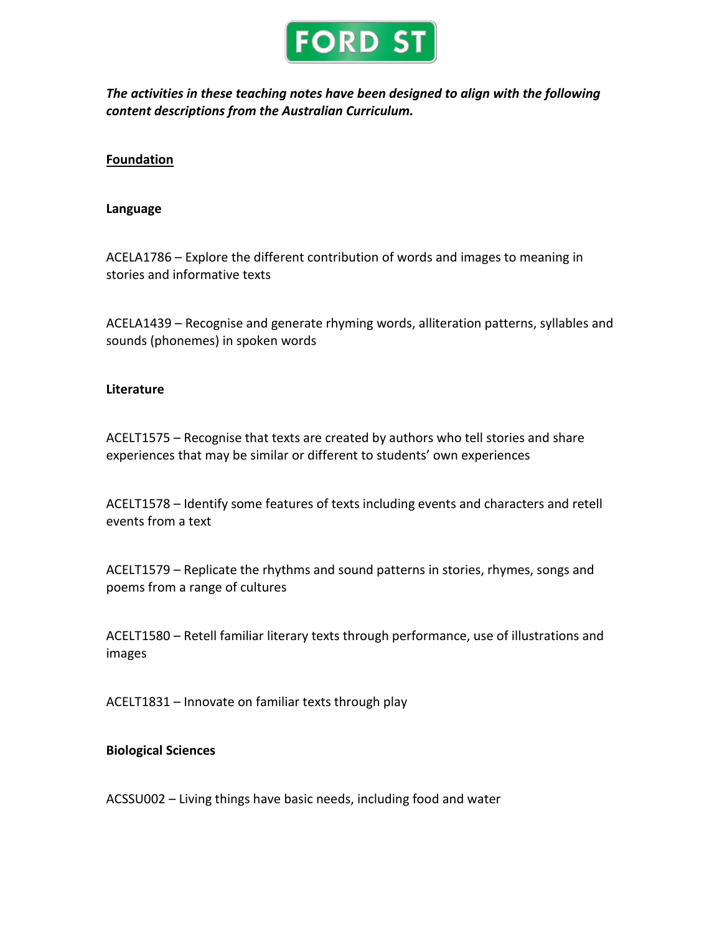

*The activities in these teaching notes have been designed to align with the following content descriptions from the Australian Curriculum.*

# **Foundation**

#### **Language**

ACELA1786 – Explore the different contribution of words and images to meaning in stories and informative texts

ACELA1439 – Recognise and generate rhyming words, alliteration patterns, syllables and sounds (phonemes) in spoken words

#### **Literature**

ACELT1575 – Recognise that texts are created by authors who tell stories and share experiences that may be similar or different to students' own experiences

ACELT1578 – Identify some features of texts including events and characters and retell events from a text

ACELT1579 – Replicate the rhythms and sound patterns in stories, rhymes, songs and poems from a range of cultures

ACELT1580 – Retell familiar literary texts through performance, use of illustrations and images

ACELT1831 – Innovate on familiar texts through play

# **Biological Sciences**

ACSSU002 – Living things have basic needs, including food and water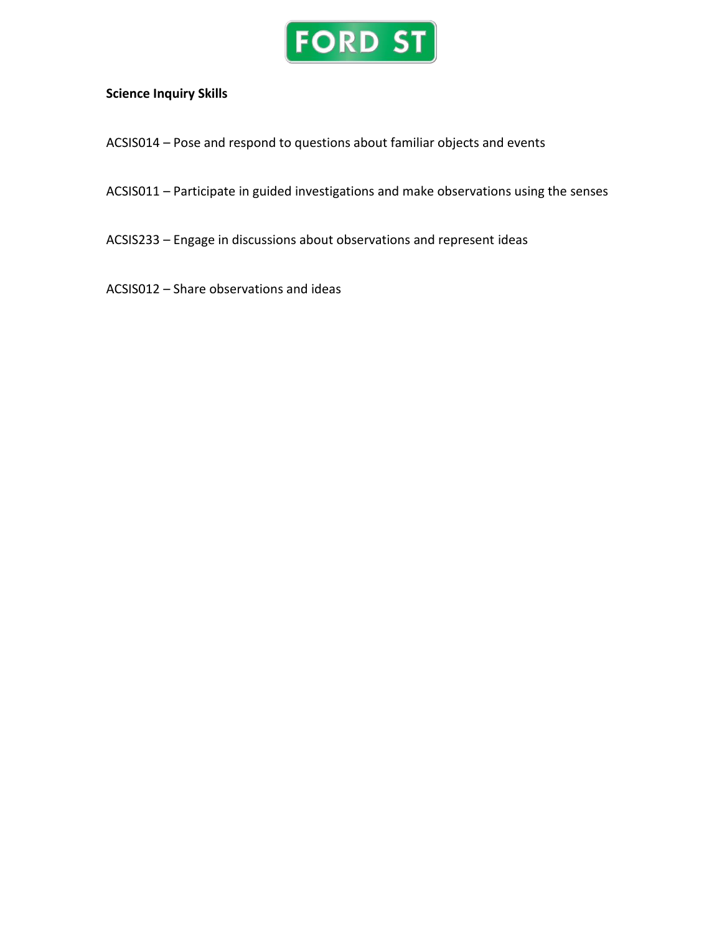

# **Science Inquiry Skills**

- ACSIS014 Pose and respond to questions about familiar objects and events
- ACSIS011 Participate in guided investigations and make observations using the senses
- ACSIS233 Engage in discussions about observations and represent ideas
- ACSIS012 Share observations and ideas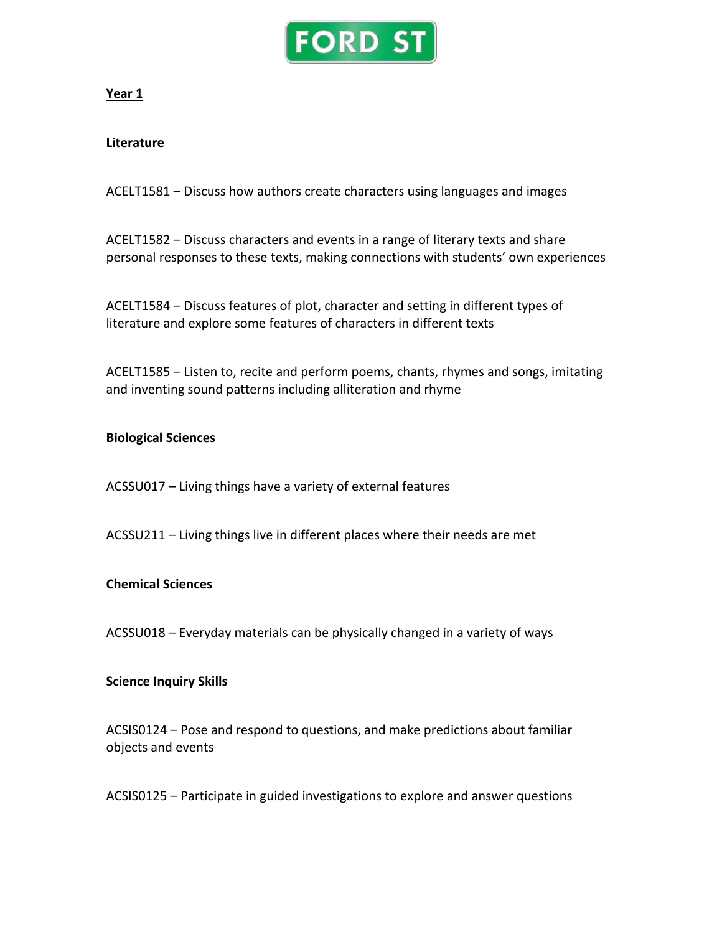

# **Year 1**

# **Literature**

ACELT1581 – Discuss how authors create characters using languages and images

ACELT1582 – Discuss characters and events in a range of literary texts and share personal responses to these texts, making connections with students' own experiences

ACELT1584 – Discuss features of plot, character and setting in different types of literature and explore some features of characters in different texts

ACELT1585 – Listen to, recite and perform poems, chants, rhymes and songs, imitating and inventing sound patterns including alliteration and rhyme

# **Biological Sciences**

ACSSU017 – Living things have a variety of external features

ACSSU211 – Living things live in different places where their needs are met

# **Chemical Sciences**

ACSSU018 – Everyday materials can be physically changed in a variety of ways

# **Science Inquiry Skills**

ACSIS0124 – Pose and respond to questions, and make predictions about familiar objects and events

ACSIS0125 – Participate in guided investigations to explore and answer questions